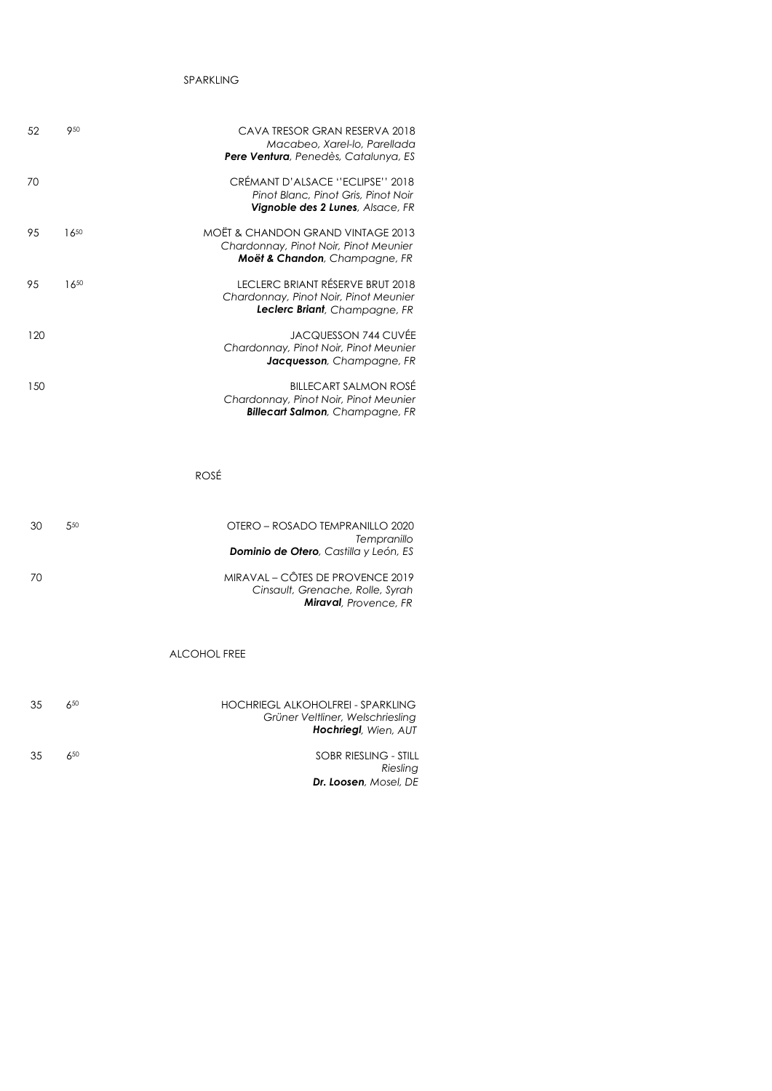## SPARKLING

| 52  | 950       | CAVA TRESOR GRAN RESERVA 2018<br>Macabeo, Xarel-lo, Parellada<br><b>Pere Ventura</b> , Penedès, Catalunya, ES      |
|-----|-----------|--------------------------------------------------------------------------------------------------------------------|
| 70  |           | CRÉMANT D'ALSACE "ECLIPSE" 2018<br>Pinot Blanc, Pinot Gris, Pinot Noir<br>Vignoble des 2 Lunes, Alsace, FR         |
| 95  | $16^{50}$ | MOËT & CHANDON GRAND VINTAGE 2013<br>Chardonnay, Pinot Noir, Pinot Meunier<br>Moët & Chandon, Champagne, FR        |
| 95  | 1650      | LECLERC BRIANT RÉSERVE BRUT 2018<br>Chardonnay, Pinot Noir, Pinot Meunier<br><b>Leclerc Briant</b> , Champagne, FR |
| 120 |           | JACQUESSON 744 CUVÉE<br>Chardonnay, Pinot Noir, Pinot Meunier<br>Jacquesson, Champagne, FR                         |
| 150 |           | <b>BILLECART SALMON ROSÉ</b><br>Chardonnay, Pinot Noir, Pinot Meunier<br><b>Billecart Salmon</b> , Champagne, FR   |
|     |           |                                                                                                                    |

ROSÉ

| 550<br>30      | OTERO – ROSADO TEMPRANILLO 2020<br>Tempranillo<br><b>Dominio de Otero, Castilla y León, ES</b>        |
|----------------|-------------------------------------------------------------------------------------------------------|
| 70             | MIRAVAL – CÔTES DE PROVENCE 2019<br>Cinsault, Grenache, Rolle, Syrah<br><b>Miraval</b> , Provence, FR |
|                | ALCOHOL FREE                                                                                          |
| $6^{50}$<br>35 | HOCHRIEGL ALKOHOLFREI - SPARKLING<br>Grüner Veltliner, Welschriesling<br><b>Hochriegl</b> , Wien, AUT |
| 650<br>35      | SOBR RIESLING - STILL                                                                                 |

 *Riesling Dr. Loosen, Mosel, DE*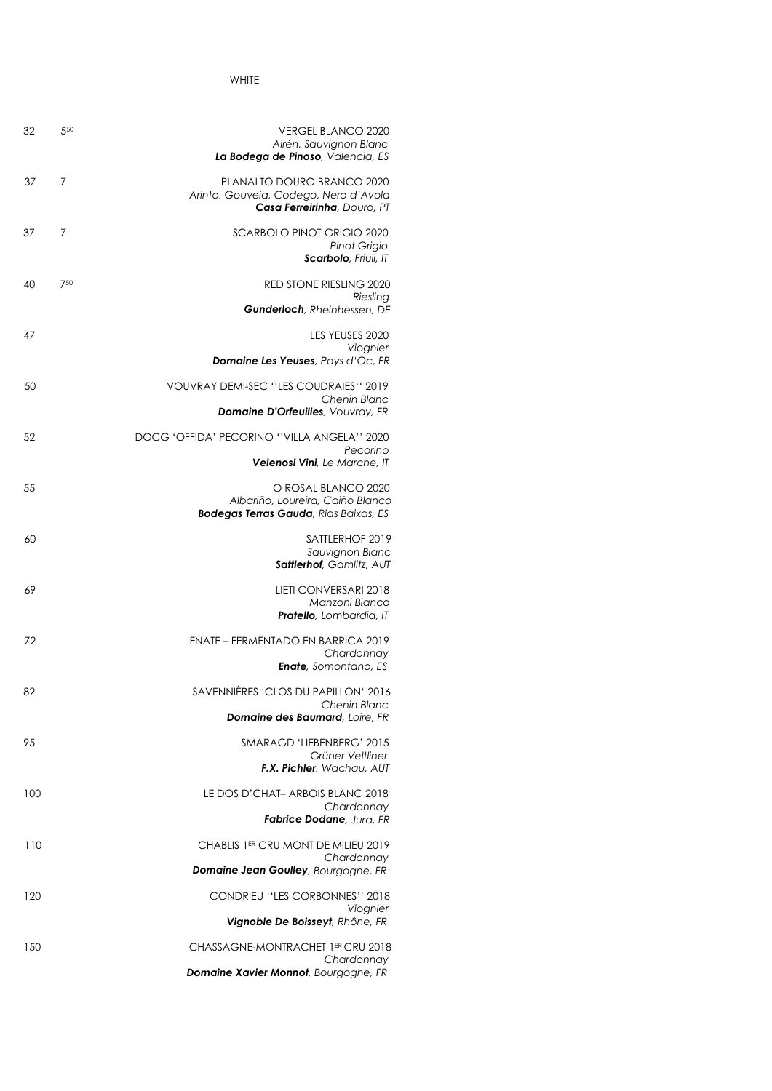WHITE

| 32  | 550 | <b>VERGEL BLANCO 2020</b><br>Airén, Sauvignon Blanc<br>La Bodega de Pinoso, Valencia, ES                 |
|-----|-----|----------------------------------------------------------------------------------------------------------|
| 37  | 7   | PLANALTO DOURO BRANCO 2020<br>Arinto, Gouveia, Codego, Nero d'Avola<br>Casa Ferreirinha, Douro, PT       |
| 37  | 7   | <b>SCARBOLO PINOT GRIGIO 2020</b><br>Pinot Grigio<br>Scarbolo, Friuli, IT                                |
| 40  | 750 | <b>RED STONE RIESLING 2020</b><br>Riesling<br><b>Gunderloch</b> , Rheinhessen, DE                        |
| 47  |     | LES YEUSES 2020<br>Viognier<br><b>Domaine Les Yeuses</b> , Pays d'Oc, FR                                 |
| 50  |     | VOUVRAY DEMI-SEC "LES COUDRAIES" 2019                                                                    |
|     |     | <b>Chenin Blanc</b><br><b>Domaine D'Orfeuilles</b> , Vouvray, FR                                         |
| 52  |     | DOCG 'OFFIDA' PECORINO ''VILLA ANGELA'' 2020<br>Pecorino                                                 |
|     |     | <b>Velenosi Vini</b> , Le Marche, IT                                                                     |
| 55  |     | O ROSAL BLANCO 2020<br>Albariño, Loureira, Caiño Blanco<br><b>Bodegas Terras Gauda</b> , Rias Baixas, ES |
| 60  |     | SATTLERHOF 2019<br>Sauvignon Blanc<br>Sattlerhof, Gamlitz, AUT                                           |
| 69  |     | LIETI CONVERSARI 2018<br>Manzoni Bianco<br>Pratello, Lombardia, IT                                       |
| 72  |     | <b>ENATE - FERMENTADO EN BARRICA 2019</b><br>Chardonnay<br><b>Enate</b> , Somontano, ES                  |
| 82  |     | SAVENNIÈRES 'CLOS DU PAPILLON' 2016<br>Chenin Blanc                                                      |
|     |     | <b>Domaine des Baumard</b> , Loire, FR                                                                   |
| 95  |     | SMARAGD 'LIEBENBERG' 2015<br>Grüner Veltliner<br><b>F.X. Pichler</b> , Wachau, AUT                       |
| 100 |     | LE DOS D'CHAT-ARBOIS BLANC 2018<br>Chardonnay<br><b>Fabrice Dodane</b> , Jura, FR                        |
| 110 |     | CHABLIS 1ER CRU MONT DE MILIEU 2019                                                                      |
|     |     | Chardonnay<br><b>Domaine Jean Goulley</b> , Bourgogne, FR                                                |
| 120 |     | CONDRIEU "LES CORBONNES" 2018                                                                            |
|     |     | Viognier<br>Vignoble De Boisseyt, Rhône, FR                                                              |
| 150 |     | CHASSAGNE-MONTRACHET 1ER CRU 2018<br>Chardonnay                                                          |
|     |     | <b>Domaine Xavier Monnot</b> , Bourgogne, FR                                                             |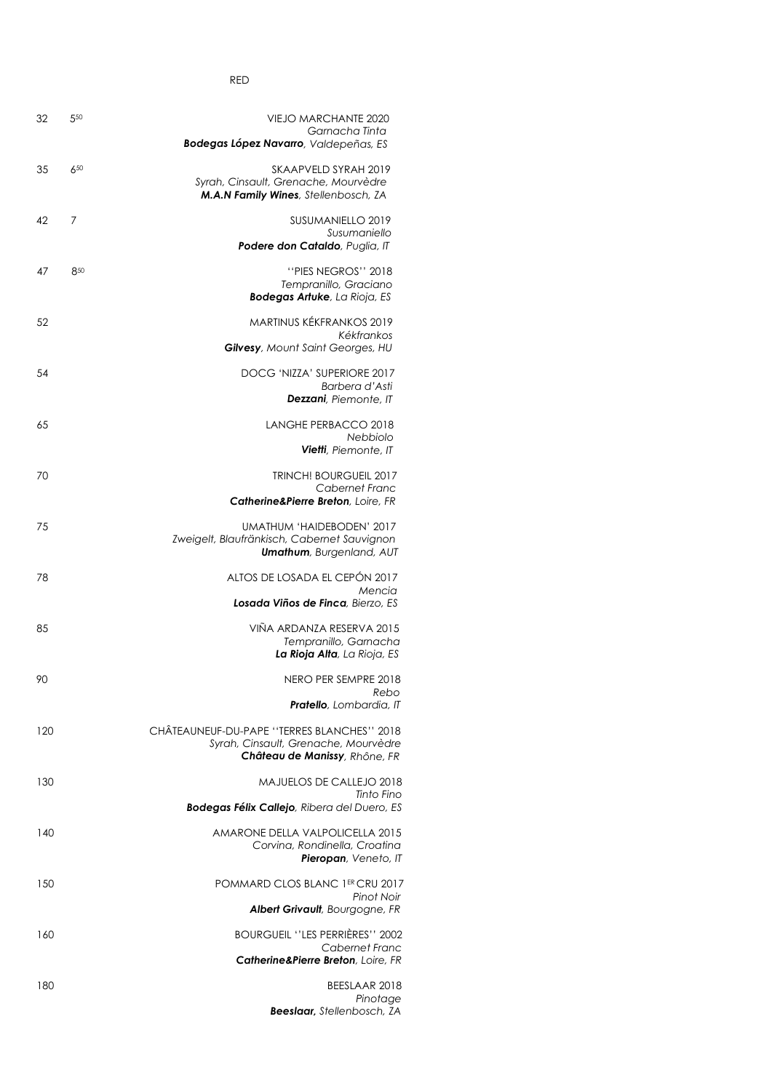RED

| 32  | 550 | <b>VIEJO MARCHANTE 2020</b>                                                     |  |
|-----|-----|---------------------------------------------------------------------------------|--|
|     |     | Garnacha Tinta                                                                  |  |
|     |     | <b>Bodegas López Navarro, Valdepeñas, ES</b>                                    |  |
| 35  | 650 | SKAAPVELD SYRAH 2019                                                            |  |
|     |     | Syrah, Cinsault, Grenache, Mourvèdre                                            |  |
|     |     | M.A.N Family Wines, Stellenbosch, ZA                                            |  |
| 42  | 7   | SUSUMANIELLO 2019                                                               |  |
|     |     | Susumaniello                                                                    |  |
|     |     | Podere don Cataldo, Puglia, IT                                                  |  |
| 47  | 850 | "PIES NEGROS" 2018                                                              |  |
|     |     | Tempranillo, Graciano                                                           |  |
|     |     | <b>Bodegas Artuke</b> , La Rioja, ES                                            |  |
| 52  |     | MARTINUS KÉKFRANKOS 2019                                                        |  |
|     |     | Kékfrankos                                                                      |  |
|     |     | <b>Gilvesy</b> , Mount Saint Georges, HU                                        |  |
| 54  |     | DOCG 'NIZZA' SUPERIORE 2017                                                     |  |
|     |     | Barbera d'Asti<br><b>Dezzani</b> , Piemonte, IT                                 |  |
|     |     |                                                                                 |  |
| 65  |     | LANGHE PERBACCO 2018                                                            |  |
|     |     | Nebbiolo<br><b>Vietti</b> , Piemonte, IT                                        |  |
|     |     |                                                                                 |  |
| 70  |     | TRINCH! BOURGUEIL 2017                                                          |  |
|     |     | Cabernet Franc<br>Catherine&Pierre Breton, Loire, FR                            |  |
|     |     |                                                                                 |  |
| 75  |     | UMATHUM 'HAIDEBODEN' 2017                                                       |  |
|     |     | Zweigelt, Blaufränkisch, Cabernet Sauvignon<br><b>Umathum</b> , Burgenland, AUT |  |
|     |     |                                                                                 |  |
| 78  |     | ALTOS DE LOSADA EL CEPÓN 2017<br>Mencia                                         |  |
|     |     | Losada Viños de Finca, Bierzo, ES                                               |  |
|     |     |                                                                                 |  |
| 85  |     | VIÑA ARDANZA RESERVA 2015<br>Tempranillo, Garnacha                              |  |
|     |     | La Rioja Alta, La Rioja, ES                                                     |  |
|     |     |                                                                                 |  |
| 90  |     | NERO PER SEMPRE 2018<br>Rebo                                                    |  |
|     |     | <b>Pratello</b> , Lombardia, IT                                                 |  |
| 120 |     | CHÂTEAUNEUF-DU-PAPE "TERRES BLANCHES" 2018                                      |  |
|     |     | Syrah, Cinsault, Grenache, Mourvèdre                                            |  |
|     |     | Château de Manissy, Rhône, FR                                                   |  |
| 130 |     | <b>MAJUELOS DE CALLEJO 2018</b>                                                 |  |
|     |     | Tinto Fino                                                                      |  |
|     |     | <b>Bodegas Félix Callejo</b> , Ribera del Duero, ES                             |  |
| 140 |     | AMARONE DELLA VALPOLICELLA 2015                                                 |  |
|     |     | Corvina, Rondinella, Croatina                                                   |  |
|     |     | Pieropan, Veneto, IT                                                            |  |
| 150 |     | POMMARD CLOS BLANC 1ER CRU 2017                                                 |  |
|     |     | Pinot Noir                                                                      |  |
|     |     | <b>Albert Grivault</b> , Bourgogne, FR                                          |  |
| 160 |     | <b>BOURGUEIL "LES PERRIERES" 2002</b>                                           |  |
|     |     | Cabernet Franc                                                                  |  |
|     |     | <b>Catherine&amp;Pierre Breton, Loire, FR</b>                                   |  |
| 180 |     | BEESLAAR 2018                                                                   |  |
|     |     | Pinotage                                                                        |  |
|     |     | <b>Beeslaar</b> , Stellenbosch, ZA                                              |  |